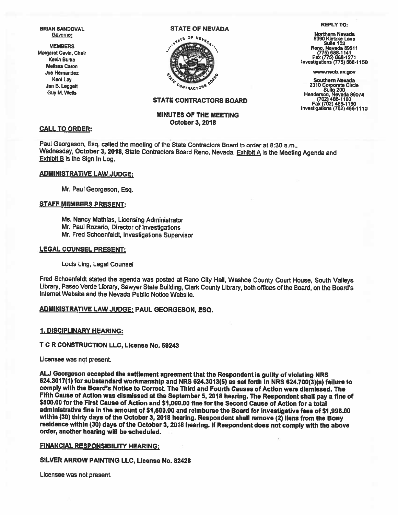# STATE OF NEVADA REPLY TO:



Jan B. Leggett **2310** Corporate Circle  $\frac{1}{2}$  Corporate Circle Suite 200 Guy M. Wells **Suite 200** (702) 486-1100 Fax (702) 486-1190 InvestIgations (702) 486-1110

#### STATE CONTRACTORS BOARD

### MINUTES OF THE MEETING October 3, 2018

#### CALL TO ORDER:

Paul Georgeson, Esq. called the meeting of the State Contractors Board to order at 8:30 a.m.,<br>Wednesday, October 3, 2018, State Contractors Board Reno, Nevada. Exhibit A is the Meeting Agenda and<br>Exhibit B is the Sign In L

#### ADMINISTRATIVE LAW JUDGE:

Mr. Paul Georgeson, Esq.

#### STAFF MEMBERS PRESENT:

Ms. Nancy Mathias, Licensing Administrator Mr. Paul Rozaño, Director of Investigations Mr. Fred Schoenfeldt, Investigations Supervisor

#### LEGAL COUNSEL PRESENT:

Louis Ling, Legal Counsel

Fred Schoenfeldt stated the agenda was posted at Reno City Hall, Washoe County Court House, South Valleys Library, Paseo Verde Library, Sawyer State Building, Clark County Library, both offices of the Board, on the Board's Internet Websjte and the Nevada Public Notice Website.

#### ADMINISTRATIVE LAW JUDGE: PAUL GEORGESON, ESO.

#### 1. DISCIPLINARY HEARING:

## T C R CONSTRUCTION LLC, LIcense No. 59243

Licensee was not present.

AU Georgeson accepted the settlement agreement that the Respondent is guilty of violating NRS 624.3017(1) for substandard workmanship and NRS 624.3013(5) as set forth In NRS 624.700(3)(a) failure to comply wIth the Board's Notice to Correct. The Third and Fourth Causes of Action were dismissed. The Fifth Cause of Action was dismissed at the September 5, 2018 hearing. The Respondent shall pay a fine of<br>\$500.00 for the First Cause of Action and \$1,000.00 fine for the Second Cause of Action for a total administrative fine in the amount of \$1,500.00 and reimburse the Board for investigative fees of \$1,998.00<br>within (30) thirty days of the October 3, 2018 hearing. Respondent shall remove (2) liens from the Bony<br>residence w

#### FINANCIAL RESPONSIBILITY HEARING:

#### SILVER ARROW PAINTING LLC, License No. 62428

Licensee was not present.